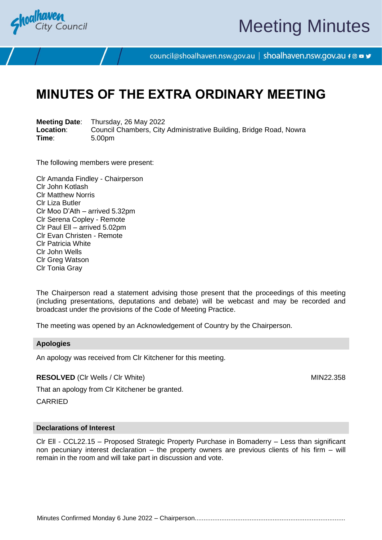

# Meeting Minutes

council@shoalhaven.nsw.gov.au | shoalhaven.nsw.gov.au f @ ■ y

# **MINUTES OF THE EXTRA ORDINARY MEETING**

**Meeting Date**: Thursday, 26 May 2022 **Location:** Council Chambers, City Administrative Building, Bridge Road, Nowra<br>
Time: 5.00pm **Time**: 5.00pm

The following members were present:

Clr Amanda Findley - Chairperson Clr John Kotlash Clr Matthew Norris Clr Liza Butler Clr Moo D'Ath – arrived 5.32pm Clr Serena Copley - Remote Clr Paul Ell – arrived 5.02pm Clr Evan Christen - Remote Clr Patricia White Clr John Wells Clr Greg Watson Clr Tonia Gray

The Chairperson read a statement advising those present that the proceedings of this meeting (including presentations, deputations and debate) will be webcast and may be recorded and broadcast under the provisions of the Code of Meeting Practice.

The meeting was opened by an Acknowledgement of Country by the Chairperson.

#### **Apologies**

An apology was received from Clr Kitchener for this meeting.

**RESOLVED** (CIr Wells / CIr White) MIN22.358

That an apology from Clr Kitchener be granted. CARRIED

#### **Declarations of Interest**

Clr Ell - CCL22.15 – Proposed Strategic Property Purchase in Bomaderry – Less than significant non pecuniary interest declaration – the property owners are previous clients of his firm – will remain in the room and will take part in discussion and vote.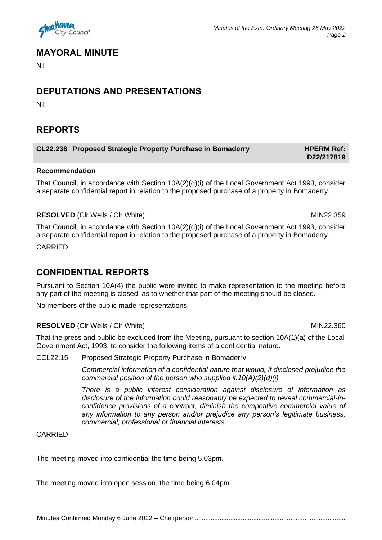

#### **MAYORAL MINUTE**

Nil

# **DEPUTATIONS AND PRESENTATIONS**

Nil

## **REPORTS**

#### **CL22.238** Proposed Strategic Property Purchase in Bomaderry **HPERM Ref:**

#### **Recommendation**

That Council, in accordance with Section 10A(2)(d)(i) of the Local Government Act 1993, consider a separate confidential report in relation to the proposed purchase of a property in Bomaderry.

#### **RESOLVED** (CIr Wells / CIr White) MIN22.359

That Council, in accordance with Section 10A(2)(d)(i) of the Local Government Act 1993, consider a separate confidential report in relation to the proposed purchase of a property in Bomaderry.

CARRIED

# **CONFIDENTIAL REPORTS**

Pursuant to Section 10A(4) the public were invited to make representation to the meeting before any part of the meeting is closed, as to whether that part of the meeting should be closed.

No members of the public made representations.

#### **RESOLVED** (Clr Wells / Clr White) MIN22.360

That the press and public be excluded from the Meeting, pursuant to section 10A(1)(a) of the Local Government Act, 1993, to consider the following items of a confidential nature.

#### CCL22.15 Proposed Strategic Property Purchase in Bomaderry

*Commercial information of a confidential nature that would, if disclosed prejudice the commercial position of the person who supplied it.10(A)(2)(d)(i)*

*There is a public interest consideration against disclosure of information as disclosure of the information could reasonably be expected to reveal commercial-inconfidence provisions of a contract, diminish the competitive commercial value of any information to any person and/or prejudice any person's legitimate business, commercial, professional or financial interests.*

#### CARRIED

The meeting moved into confidential the time being 5.03pm.

The meeting moved into open session, the time being 6.04pm.

**D22/217819**